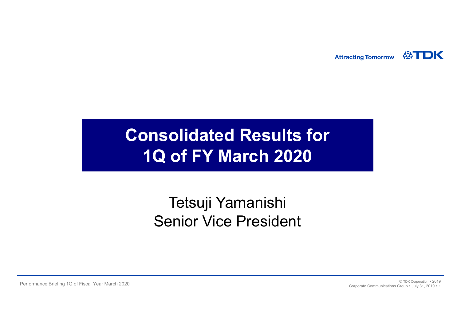公TDK **Attracting Tomorrow** 

# **Consolidated Results for 1Q of FY March 2020**

## Tetsuji Yamanishi Senior Vice President

Performance Briefing 1Q of Fiscal Year March 2020 <sup>2019</sup> <sup>2019</sup> <sup>©</sup> TDK Corporation <sup>9</sup> 2019 <sup>2019</sup> <sup>©</sup> TDK Corporation <sup>9</sup> 2019 <sup>2019</sup> Corporate Communications Group **100 31, 2019 11**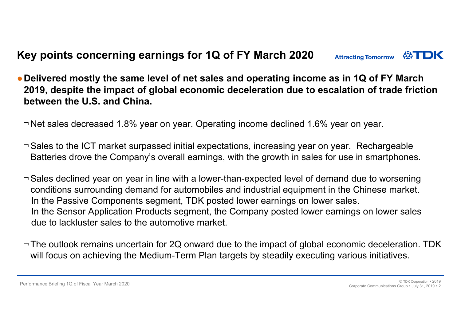#### **Key points concerning earnings for 1Q of FY March 2020 Attracting Tomorrow**

●**Delivered mostly the same level of net sales and operating income as in 1Q of FY March 2019, despite the impact of global economic deceleration due to escalation of trade friction between the U.S. and China.**

¬ Net sales decreased 1.8% year on year. Operating income declined 1.6% year on year.

- ¬ Sales to the ICT market surpassed initial expectations, increasing year on year. Rechargeable Batteries drove the Company's overall earnings, with the growth in sales for use in smartphones.
- ¬ Sales declined year on year in line with a lower-than-expected level of demand due to worsening conditions surrounding demand for automobiles and industrial equipment in the Chinese market. In the Passive Components segment, TDK posted lower earnings on lower sales. In the Sensor Application Products segment, the Company posted lower earnings on lower sales due to lackluster sales to the automotive market.
- ¬ The outlook remains uncertain for 2Q onward due to the impact of global economic deceleration. TDK will focus on achieving the Medium-Term Plan targets by steadily executing various initiatives.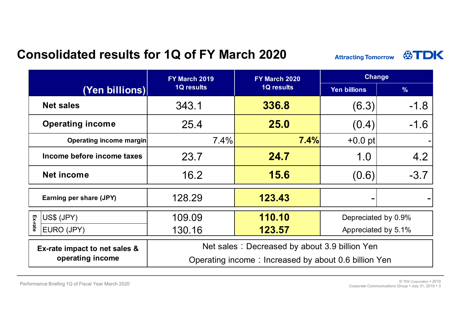### **Consolidated results for 1Q of FY March 2020**



|                                | FY March 2019                                        | FY March 2020     | <b>Change</b>       |               |  |
|--------------------------------|------------------------------------------------------|-------------------|---------------------|---------------|--|
| (Yen billions)                 | <b>1Q results</b>                                    | <b>1Q results</b> | <b>Yen billions</b> | $\frac{9}{6}$ |  |
| <b>Net sales</b>               | 343.1                                                | 336.8             | (6.3)               | $-1.8$        |  |
| <b>Operating income</b>        | 25.4                                                 | 25.0              | (0.4)               | $-1.6$        |  |
| <b>Operating income margin</b> | 7.4%                                                 | 7.4%              | $+0.0$ pt           |               |  |
| Income before income taxes     | 23.7                                                 | 24.7              | 1.0                 | 4.2           |  |
| <b>Net income</b>              | 16.2                                                 | 15.6              | (0.6)               | $-3.7$        |  |
| Earning per share (JPY)        | 128.29                                               | 123.43            |                     |               |  |
| US\$ (JPY)                     | 109.09                                               | 110.10            | Depreciated by 0.9% |               |  |
| Ex-rate<br>EURO (JPY)          | 130.16                                               | 123.57            | Appreciated by 5.1% |               |  |
| Ex-rate impact to net sales &  | Net sales: Decreased by about 3.9 billion Yen        |                   |                     |               |  |
| operating income               | Operating income: Increased by about 0.6 billion Yen |                   |                     |               |  |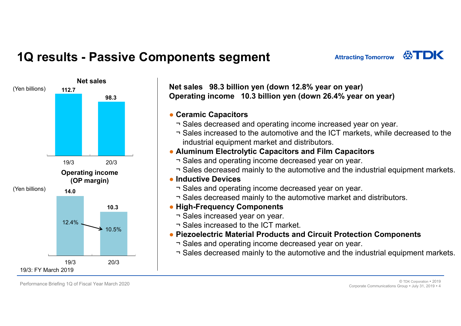## **1Q results - Passive Components segment**



**Net sales 98.3 billion yen (down 12.8% year on year) Operating income 10.3 billion ven (down 26.4% year on year)** 

#### ● **Ceramic Capacitors**

- ¬ Sales decreased and operating income increased year on year.
- ¬ Sales increased to the automotive and the ICT markets, while decreased to the industrial equipment market and distributors.

**Attracting Tomorrow** 

#### ● **Aluminum Electrolytic Capacitors and Film Capacitors**

- ¬ Sales and operating income decreased year on year.
- ¬ Sales decreased mainly to the automotive and the industrial equipment markets.

### ● **Inductive Devices**

- ¬ Sales and operating income decreased year on year.
- ¬ Sales decreased mainly to the automotive market and distributors.

#### ● **High-Frequency Components**

- ¬ Sales increased year on year.
- ¬ Sales increased to the ICT market.
- **Piezoelectric Material Products and Circuit Protection Components**
	- ¬ Sales and operating income decreased year on year.
	- ¬ Sales decreased mainly to the automotive and the industrial equipment markets.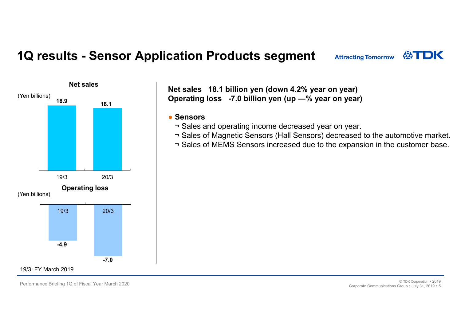### **1Q results - Sensor Application Products segment**



**Net sales 18.1 billion yen (down 4.2% year on year) Operating loss -7.0 billion yen (up ―% year on year)**

#### ● **Sensors**

- ¬ Sales and operating income decreased year on year.
- ¬ Sales of Magnetic Sensors (Hall Sensors) decreased to the automotive market.
- ¬ Sales of MEMS Sensors increased due to the expansion in the customer base.

**ATDK** 

**Attracting Tomorrow**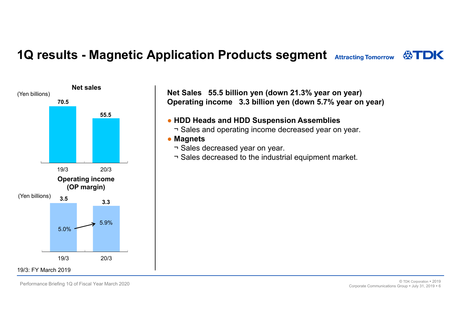### **1Q results - Magnetic Application Products segment** Attracting Tomorrow  $\bigotimes$ TDK



**Net Sales 55.5 billion yen (down 21.3% year on year) Operating income 3.3 billion yen (down 5.7% year on year)**

#### ● **HDD Heads and HDD Suspension Assemblies**

¬ Sales and operating income decreased year on year.

#### ● **Magnets**

- ¬ Sales decreased year on year.
- ¬ Sales decreased to the industrial equipment market.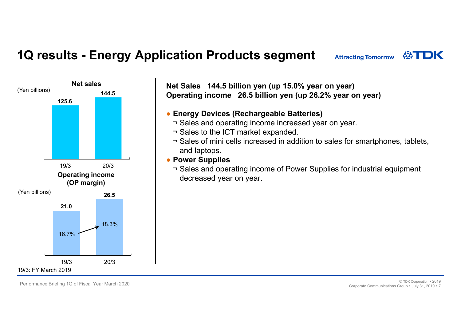## **1Q results - Energy Application Products segment**



**Net Sales 144.5 billion yen (up 15.0% year on year) Operating income 26.5 billion yen (up 26.2% year on year)**

#### ● **Energy Devices (Rechargeable Batteries)**

- ¬ Sales and operating income increased year on year.
- ¬ Sales to the ICT market expanded.
- ¬ Sales of mini cells increased in addition to sales for smartphones, tablets, and laptops.
- **Power Supplies**

¬ Sales and operating income of Power Supplies for industrial equipment decreased year on year.

**ATDK** 

**Attracting Tomorrow**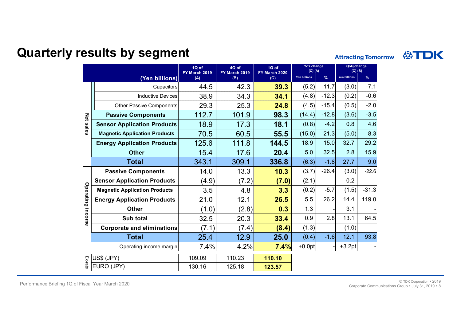### **Quarterly results by segment**

公TDK **Attracting Tomorrow** 

|                  |                                      | 1Q of<br>FY March 2019 | 4Q of<br>FY March 2019 | 1Q of<br>FY March 2020 | <b>YoY</b> change<br>$(C)-(A)$ |         | QoQ change<br>$(C)-(B)$ |               |
|------------------|--------------------------------------|------------------------|------------------------|------------------------|--------------------------------|---------|-------------------------|---------------|
|                  | (Yen billions)                       | (A)<br>(B)<br>(C)      |                        |                        | <b>Yen billions</b>            | $\%$    | Yen billions            | $\frac{9}{6}$ |
| <b>Net sales</b> | Capacitors                           | 44.5                   | 42.3                   | 39.3                   | (5.2)                          | $-11.7$ | (3.0)                   | $-7.1$        |
|                  | <b>Inductive Devices</b>             | 38.9                   | 34.3                   | 34.1                   | (4.8)                          | $-12.3$ | (0.2)                   | $-0.6$        |
|                  | <b>Other Passive Components</b>      | 29.3                   | 25.3                   | 24.8                   | (4.5)                          | $-15.4$ | (0.5)                   | $-2.0$        |
|                  | <b>Passive Components</b>            | 112.7                  | 101.9                  | 98.3                   | (14.4)                         | $-12.8$ | (3.6)                   | $-3.5$        |
|                  | <b>Sensor Application Products</b>   | 18.9                   | 17.3                   | 18.1                   | (0.8)                          | $-4.2$  | 0.8                     | 4.6           |
|                  | <b>Magnetic Application Products</b> | 70.5                   | 60.5                   | 55.5                   | (15.0)                         | $-21.3$ | (5.0)                   | $-8.3$        |
|                  | <b>Energy Application Products</b>   | 125.6                  | 111.8                  | 144.5                  | 18.9                           | 15.0    | 32.7                    | 29.2          |
|                  | <b>Other</b>                         | 15.4                   | 17.6                   | 20.4                   | 5.0                            | 32.5    | 2.8                     | 15.9          |
|                  | <b>Total</b>                         | 343.1                  | 309.1                  | 336.8                  | (6.3)                          | $-1.8$  | 27.7                    | 9.0           |
|                  | <b>Passive Components</b>            | 14.0                   | 13.3                   | 10.3                   | (3.7)                          | $-26.4$ | (3.0)                   | $-22.6$       |
|                  | <b>Sensor Application Products</b>   | (4.9)                  | (7.2)                  | (7.0)                  | (2.1)                          |         | 0.2                     |               |
|                  | <b>Magnetic Application Products</b> | 3.5                    | 4.8                    | 3.3                    | (0.2)                          | $-5.7$  | (1.5)                   | $-31.3$       |
|                  | <b>Energy Application Products</b>   | 21.0                   | 12.1                   | 26.5                   | 5.5                            | 26.2    | 14.4                    | 119.0         |
|                  | <b>Other</b>                         | (1.0)                  | (2.8)                  | 0.3                    | 1.3                            |         | 3.1                     |               |
| Operating income | Sub total                            | 32.5                   | 20.3                   | 33.4                   | 0.9                            | 2.8     | 13.1                    | 64.5          |
|                  | <b>Corporate and eliminations</b>    | (7.1)                  | (7.4)                  | (8.4)                  | (1.3)                          |         | (1.0)                   |               |
|                  | <b>Total</b>                         | 25.4                   | 12.9                   | 25.0                   | (0.4)                          | $-1.6$  | 12.1                    | 93.8          |
|                  | Operating income margin              | 7.4%                   | 4.2%                   | 7.4%                   | $+0.0pt$                       |         | $+3.2pt$                |               |
|                  | US\$ (JPY)                           | 109.09                 | 110.23                 | 110.10                 |                                |         |                         |               |
| Ex-rate          | EURO (JPY)                           | 130.16                 | 125.18                 | 123.57                 |                                |         |                         |               |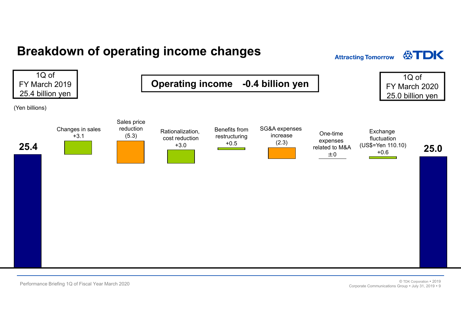### **Breakdown of operating income changes**

**Attracting Tomorrow** 

公TDK

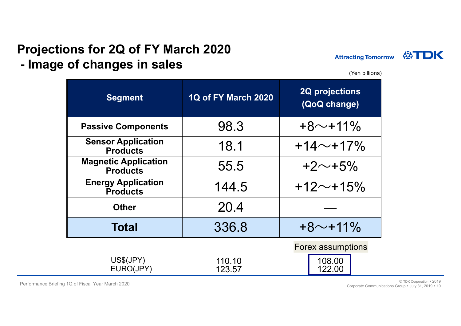#### **Projections for 2Q of FY March 2020 - Image of changes in sales**



(Yen billions)

| <b>Segment</b>                                 | <b>1Q of FY March 2020</b> | <b>2Q projections</b><br>(QoQ change)        |
|------------------------------------------------|----------------------------|----------------------------------------------|
| <b>Passive Components</b>                      | 98.3                       | $+8$ ~+11%                                   |
| <b>Sensor Application</b><br><b>Products</b>   | 18.1                       | $+14$ ~+17%                                  |
| <b>Magnetic Application</b><br><b>Products</b> | 55.5                       | $+2 \sim +5\%$                               |
| <b>Energy Application</b><br><b>Products</b>   | 144.5                      | $+12$ ~+15%                                  |
| <b>Other</b>                                   | 20.4                       |                                              |
| <b>Total</b>                                   | 336.8                      | $+8$ ~+11%                                   |
| US\$(JPY)<br>EURO(JPY)                         | 110.10<br>123.57           | <b>Forex assumptions</b><br>108.00<br>122.00 |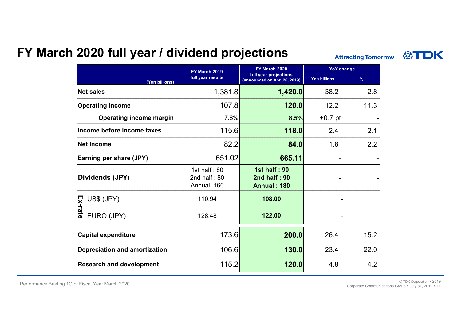### **FY March 2020 full year / dividend projections**

**Attracting Tomorrow** 

|                                 |                                      | FY March 2019                                   | FY March 2020                                             | <b>YoY change</b>   |      |  |
|---------------------------------|--------------------------------------|-------------------------------------------------|-----------------------------------------------------------|---------------------|------|--|
|                                 | (Yen billions)                       | full year results                               | full year projections<br>(announced on Apr. 26, 2019)     | <b>Yen billions</b> | $\%$ |  |
|                                 | <b>Net sales</b>                     | 1,381.8                                         | 1,420.0                                                   | 38.2                | 2.8  |  |
|                                 | <b>Operating income</b>              | 107.8                                           | 120.0                                                     | 12.2                | 11.3 |  |
|                                 | <b>Operating income margin</b>       | 7.8%                                            | 8.5%                                                      | $+0.7$ pt           |      |  |
|                                 | Income before income taxes           | 115.6                                           | 118.0                                                     | 2.1<br>2.4          |      |  |
|                                 | Net income                           | 82.2                                            | 84.0                                                      | 2.2<br>1.8          |      |  |
|                                 | <b>Earning per share (JPY)</b>       | 651.02                                          | 665.11                                                    |                     |      |  |
|                                 | Dividends (JPY)                      | 1st half: $80$<br>2nd half: $80$<br>Annual: 160 | <b>1st half: 90</b><br>2nd half: 90<br><b>Annual: 180</b> |                     |      |  |
|                                 | US\$ (JPY)                           | 110.94                                          | 108.00                                                    |                     |      |  |
| Ex-rate                         | EURO (JPY)                           | 128.48                                          | 122.00                                                    |                     |      |  |
|                                 | <b>Capital expenditure</b>           | 173.6                                           | 200.0                                                     | 15.2<br>26.4        |      |  |
|                                 | <b>Depreciation and amortization</b> | 106.6                                           | 130.0                                                     | 22.0<br>23.4        |      |  |
| <b>Research and development</b> |                                      | 115.2                                           | 120.0                                                     | 4.8                 | 4.2  |  |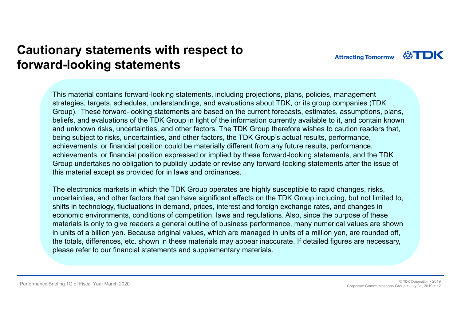### **Cautionary statements with respect to forward-looking statements**

This material contains forward-looking statements, including projections, plans, policies, management strategies, targets, schedules, understandings, and evaluations about TDK, or its group companies (TDK Group). These forward-looking statements are based on the current forecasts, estimates, assumptions, plans, beliefs, and evaluations of the TDK Group in light of the information currently available to it, and contain known and unknown risks, uncertainties, and other factors. The TDK Group therefore wishes to caution readers that, being subject to risks, uncertainties, and other factors, the TDK Group's actual results, performance, achievements, or financial position could be materially different from any future results, performance, achievements, or financial position expressed or implied by these forward-looking statements, and the TDK Group undertakes no obligation to publicly update or revise any forward-looking statements after the issue of this material except as provided for in laws and ordinances.

The electronics markets in which the TDK Group operates are highly susceptible to rapid changes, risks, uncertainties, and other factors that can have significant effects on the TDK Group including, but not limited to, shifts in technology, fluctuations in demand, prices, interest and foreign exchange rates, and changes in economic environments, conditions of competition, laws and regulations. Also, since the purpose of these materials is only to give readers a general outline of business performance, many numerical values are shown in units of a billion yen. Because original values, which are managed in units of a million yen, are rounded off, the totals, differences, etc. shown in these materials may appear inaccurate. If detailed figures are necessary, please refer to our financial statements and supplementary materials.

Performance Briefing 1Q of Fiscal Year March 2020 © TDK Corporation • 2019<br>219 ف Corporate Communications Group July 31, 2019 12